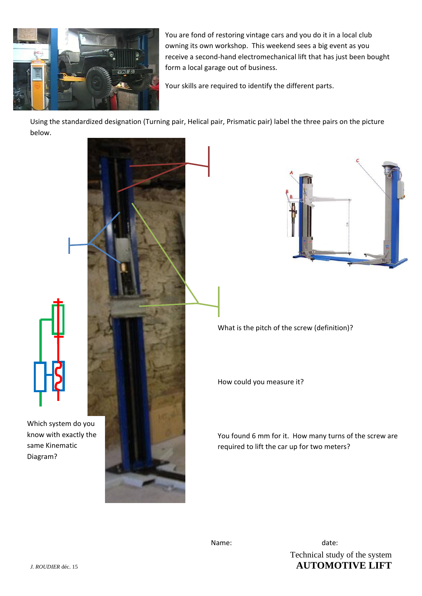

You are fond of restoring vintage cars and you do it in a local club owning its own workshop. This weekend sees a big event as you receive a second-hand electromechanical lift that has just been bought form a local garage out of business.

Your skills are required to identify the different parts.

Using the standardized designation (Turning pair, Helical pair, Prismatic pair) label the three pairs on the picture below.





What is the pitch of the screw (definition)?

How could you measure it?

You found 6 mm for it. How many turns of the screw are required to lift the car up for two meters?

Technical study of the system *J. ROUDIER* déc. 15 **AUTOMOTIVE LIFT** Name: date: